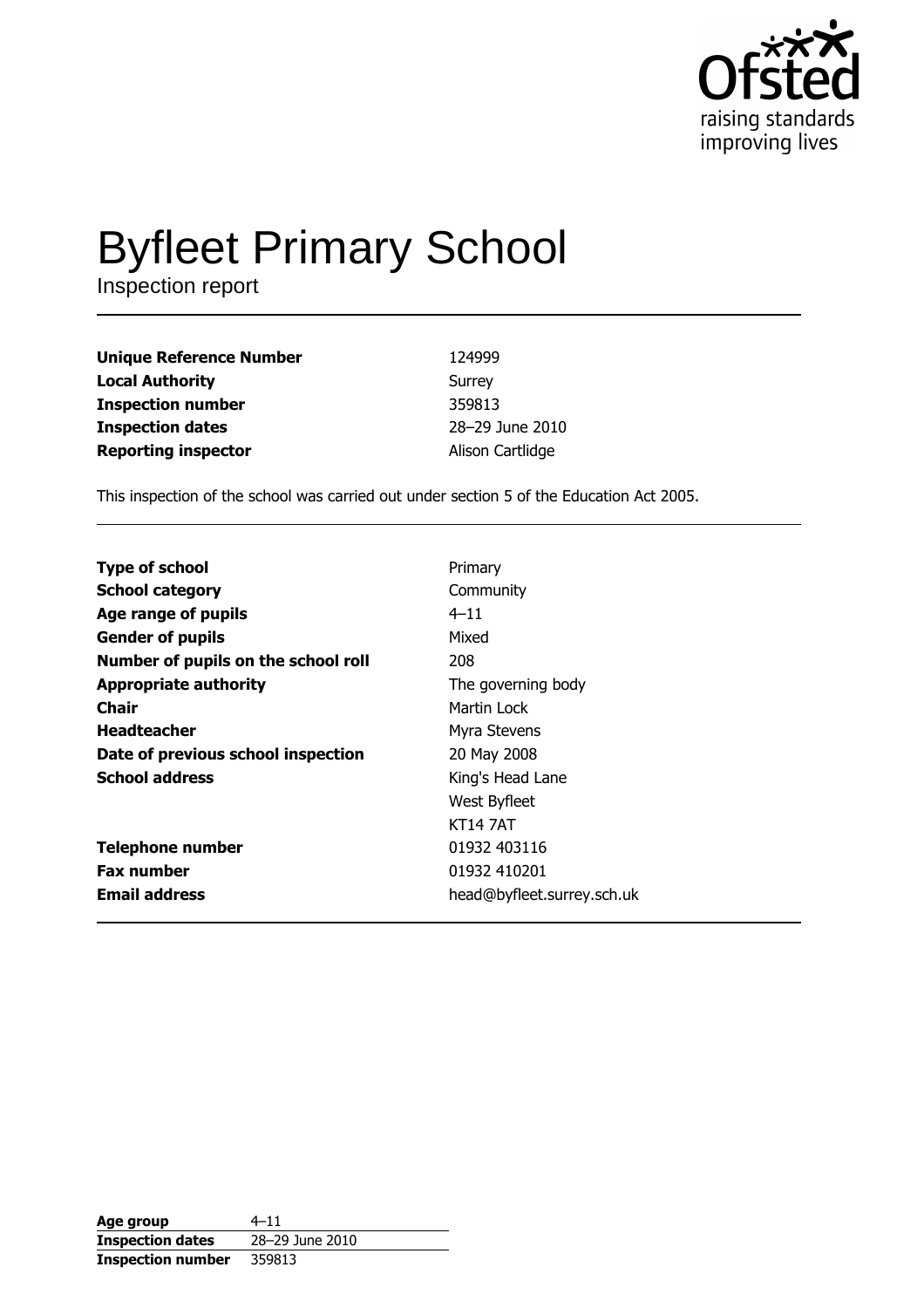

# **Byfleet Primary School**

Inspection report

| <b>Unique Reference Number</b> | 124999           |
|--------------------------------|------------------|
| <b>Local Authority</b>         | Surrey           |
| <b>Inspection number</b>       | 359813           |
| <b>Inspection dates</b>        | 28-29 June 2010  |
| <b>Reporting inspector</b>     | Alison Cartlidge |

This inspection of the school was carried out under section 5 of the Education Act 2005.

| Primary                    |
|----------------------------|
| Community                  |
| $4 - 11$                   |
| Mixed                      |
| 208                        |
| The governing body         |
| Martin Lock                |
| Myra Stevens               |
| 20 May 2008                |
| King's Head Lane           |
| West Byfleet               |
| <b>KT14 7AT</b>            |
| 01932 403116               |
| 01932 410201               |
| head@byfleet.surrey.sch.uk |
|                            |

| Age group                | $4 - 11$        |
|--------------------------|-----------------|
| <b>Inspection dates</b>  | 28-29 June 2010 |
| <b>Inspection number</b> | 359813          |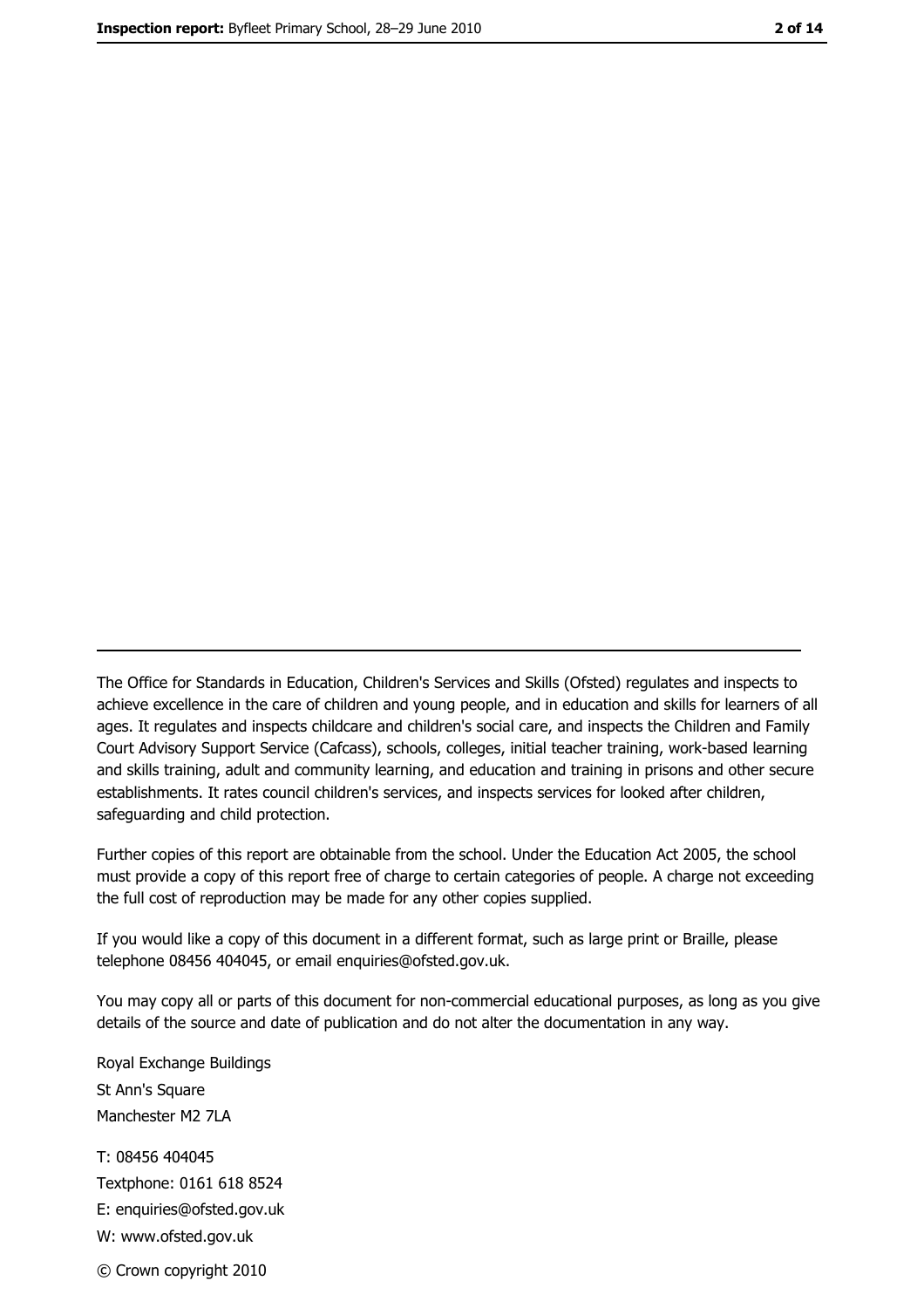The Office for Standards in Education, Children's Services and Skills (Ofsted) regulates and inspects to achieve excellence in the care of children and young people, and in education and skills for learners of all ages. It regulates and inspects childcare and children's social care, and inspects the Children and Family Court Advisory Support Service (Cafcass), schools, colleges, initial teacher training, work-based learning and skills training, adult and community learning, and education and training in prisons and other secure establishments. It rates council children's services, and inspects services for looked after children, safequarding and child protection.

Further copies of this report are obtainable from the school. Under the Education Act 2005, the school must provide a copy of this report free of charge to certain categories of people. A charge not exceeding the full cost of reproduction may be made for any other copies supplied.

If you would like a copy of this document in a different format, such as large print or Braille, please telephone 08456 404045, or email enquiries@ofsted.gov.uk.

You may copy all or parts of this document for non-commercial educational purposes, as long as you give details of the source and date of publication and do not alter the documentation in any way.

Royal Exchange Buildings St Ann's Square Manchester M2 7LA T: 08456 404045 Textphone: 0161 618 8524 E: enquiries@ofsted.gov.uk W: www.ofsted.gov.uk © Crown copyright 2010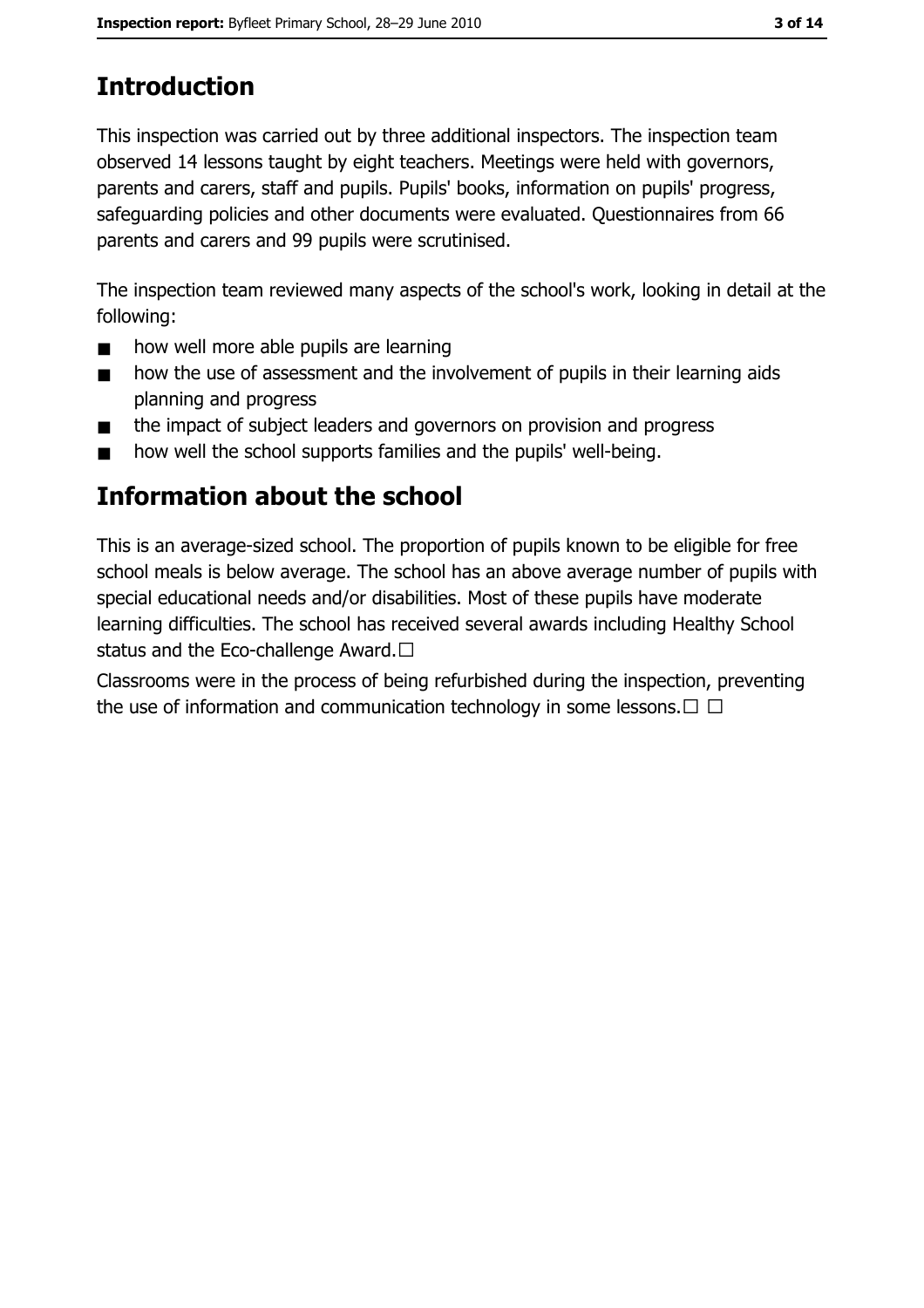## **Introduction**

This inspection was carried out by three additional inspectors. The inspection team observed 14 lessons taught by eight teachers. Meetings were held with governors, parents and carers, staff and pupils. Pupils' books, information on pupils' progress, safeguarding policies and other documents were evaluated. Ouestionnaires from 66 parents and carers and 99 pupils were scrutinised.

The inspection team reviewed many aspects of the school's work, looking in detail at the following:

- how well more able pupils are learning  $\blacksquare$
- how the use of assessment and the involvement of pupils in their learning aids  $\blacksquare$ planning and progress
- the impact of subject leaders and governors on provision and progress  $\blacksquare$
- how well the school supports families and the pupils' well-being.  $\blacksquare$

## Information about the school

This is an average-sized school. The proportion of pupils known to be eligible for free school meals is below average. The school has an above average number of pupils with special educational needs and/or disabilities. Most of these pupils have moderate learning difficulties. The school has received several awards including Healthy School status and the Eco-challenge Award.□

Classrooms were in the process of being refurbished during the inspection, preventing the use of information and communication technology in some lessons.  $\Box$   $\Box$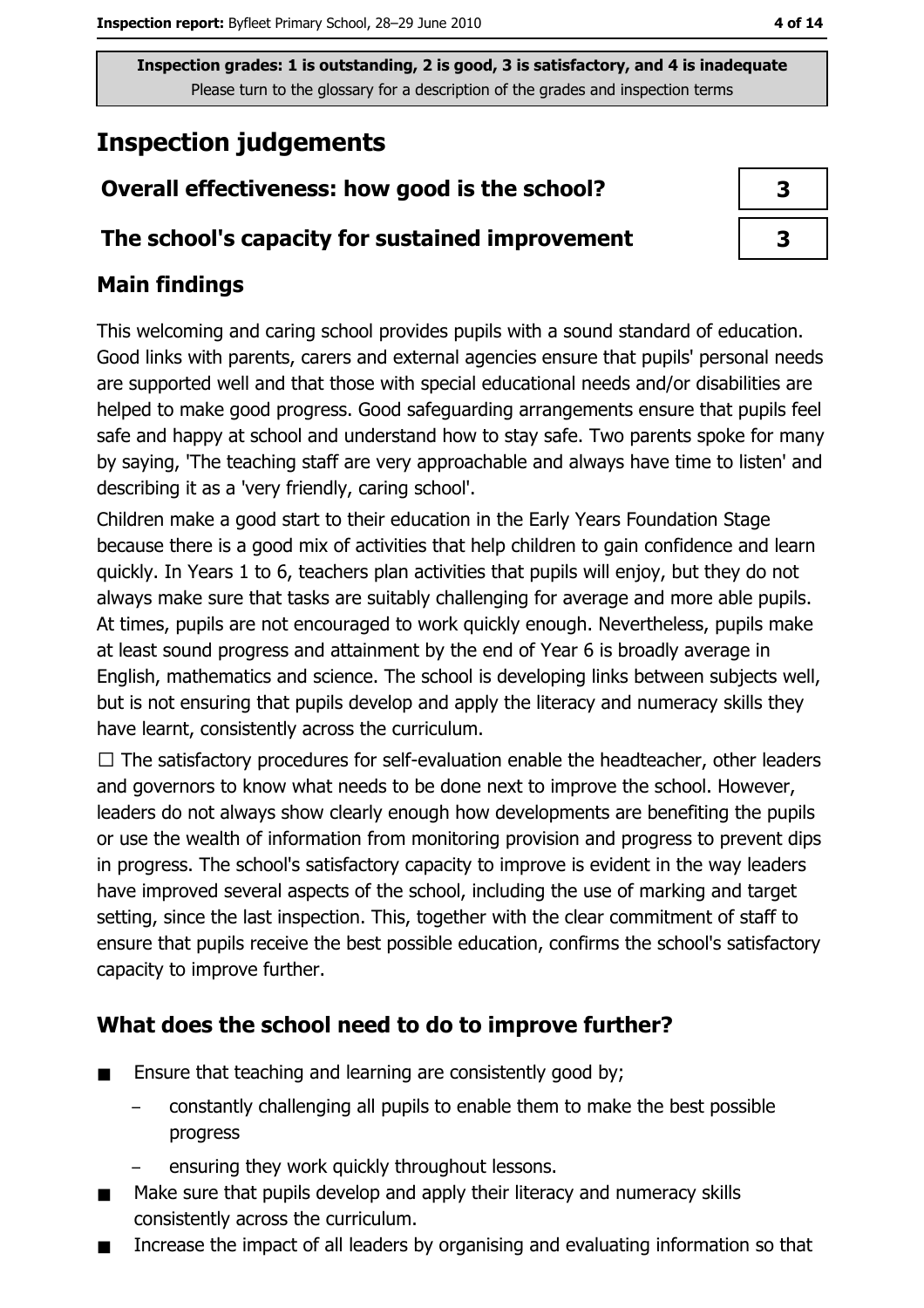# **Inspection judgements**

## Overall effectiveness: how good is the school?

## The school's capacity for sustained improvement

## **Main findings**

This welcoming and caring school provides pupils with a sound standard of education. Good links with parents, carers and external agencies ensure that pupils' personal needs are supported well and that those with special educational needs and/or disabilities are helped to make good progress. Good safeguarding arrangements ensure that pupils feel safe and happy at school and understand how to stay safe. Two parents spoke for many by saying, 'The teaching staff are very approachable and always have time to listen' and describing it as a 'very friendly, caring school'.

Children make a good start to their education in the Early Years Foundation Stage because there is a good mix of activities that help children to gain confidence and learn quickly. In Years 1 to 6, teachers plan activities that pupils will enjoy, but they do not always make sure that tasks are suitably challenging for average and more able pupils. At times, pupils are not encouraged to work quickly enough. Nevertheless, pupils make at least sound progress and attainment by the end of Year 6 is broadly average in English, mathematics and science. The school is developing links between subjects well, but is not ensuring that pupils develop and apply the literacy and numeracy skills they have learnt, consistently across the curriculum.

 $\Box$  The satisfactory procedures for self-evaluation enable the headteacher, other leaders and governors to know what needs to be done next to improve the school. However, leaders do not always show clearly enough how developments are benefiting the pupils or use the wealth of information from monitoring provision and progress to prevent dips in progress. The school's satisfactory capacity to improve is evident in the way leaders have improved several aspects of the school, including the use of marking and target setting, since the last inspection. This, together with the clear commitment of staff to ensure that pupils receive the best possible education, confirms the school's satisfactory capacity to improve further.

### What does the school need to do to improve further?

- Ensure that teaching and learning are consistently good by;  $\blacksquare$ 
	- constantly challenging all pupils to enable them to make the best possible progress
	- ensuring they work quickly throughout lessons.
- Make sure that pupils develop and apply their literacy and numeracy skills  $\blacksquare$ consistently across the curriculum.
- Increase the impact of all leaders by organising and evaluating information so that  $\blacksquare$

 $\overline{\mathbf{3}}$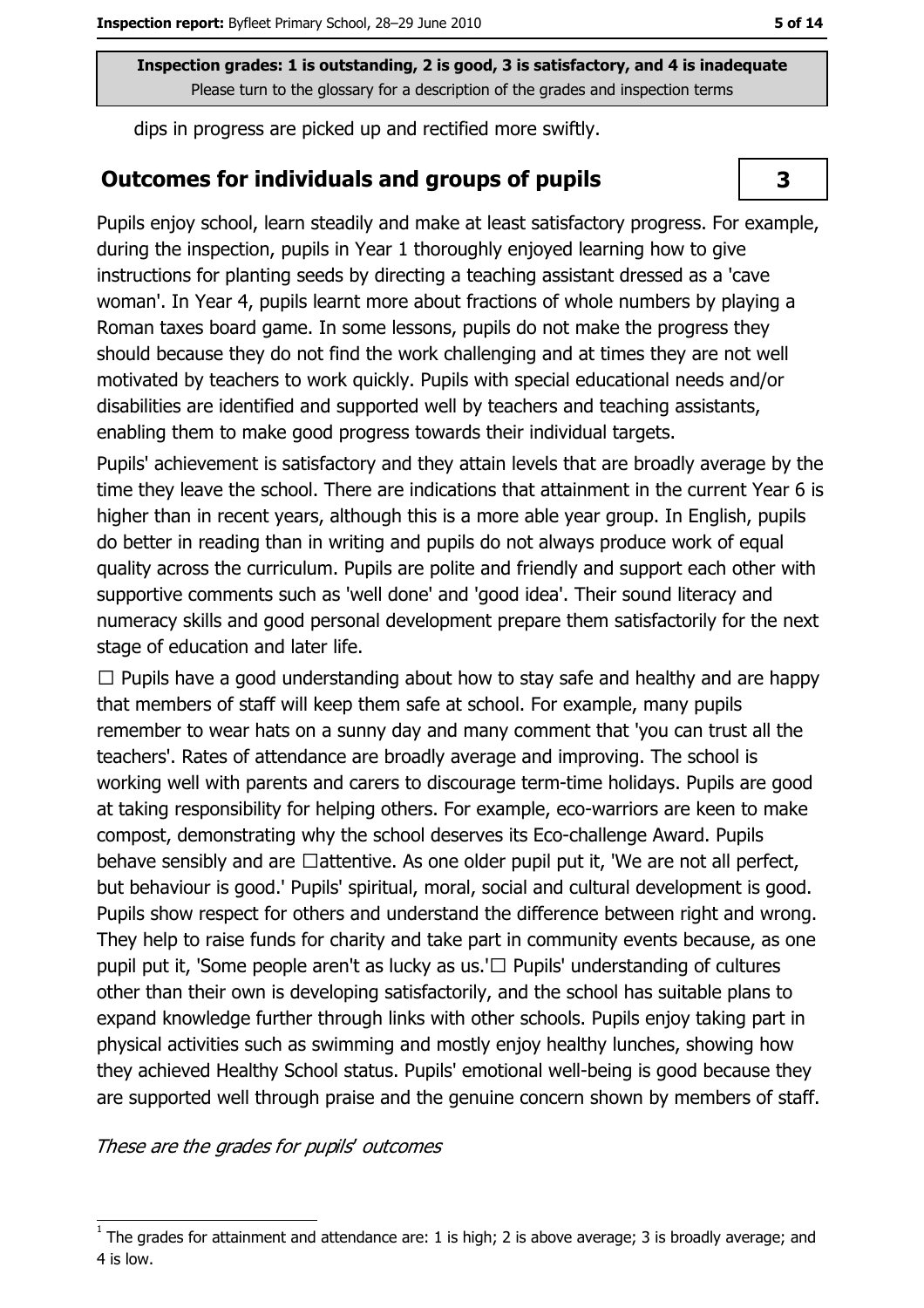dips in progress are picked up and rectified more swiftly.

#### **Outcomes for individuals and groups of pupils**

Pupils enioy school, learn steadily and make at least satisfactory progress. For example, during the inspection, pupils in Year 1 thoroughly enjoyed learning how to give instructions for planting seeds by directing a teaching assistant dressed as a 'cave woman'. In Year 4, pupils learnt more about fractions of whole numbers by playing a Roman taxes board game. In some lessons, pupils do not make the progress they should because they do not find the work challenging and at times they are not well motivated by teachers to work quickly. Pupils with special educational needs and/or disabilities are identified and supported well by teachers and teaching assistants, enabling them to make good progress towards their individual targets.

Pupils' achievement is satisfactory and they attain levels that are broadly average by the time they leave the school. There are indications that attainment in the current Year 6 is higher than in recent years, although this is a more able year group. In English, pupils do better in reading than in writing and pupils do not always produce work of equal quality across the curriculum. Pupils are polite and friendly and support each other with supportive comments such as 'well done' and 'good idea'. Their sound literacy and numeracy skills and good personal development prepare them satisfactorily for the next stage of education and later life.

 $\Box$  Pupils have a good understanding about how to stay safe and healthy and are happy that members of staff will keep them safe at school. For example, many pupils remember to wear hats on a sunny day and many comment that 'you can trust all the teachers'. Rates of attendance are broadly average and improving. The school is working well with parents and carers to discourage term-time holidays. Pupils are good at taking responsibility for helping others. For example, eco-warriors are keen to make compost, demonstrating why the school deserves its Eco-challenge Award. Pupils behave sensibly and are □attentive. As one older pupil put it, 'We are not all perfect, but behaviour is good.' Pupils' spiritual, moral, social and cultural development is good. Pupils show respect for others and understand the difference between right and wrong. They help to raise funds for charity and take part in community events because, as one pupil put it. 'Some people aren't as lucky as us.'□ Pupils' understanding of cultures other than their own is developing satisfactorily, and the school has suitable plans to expand knowledge further through links with other schools. Pupils enjoy taking part in physical activities such as swimming and mostly enjoy healthy lunches, showing how they achieved Healthy School status. Pupils' emotional well-being is good because they are supported well through praise and the genuine concern shown by members of staff.

#### These are the grades for pupils' outcomes

3

The grades for attainment and attendance are: 1 is high; 2 is above average; 3 is broadly average; and 4 is low.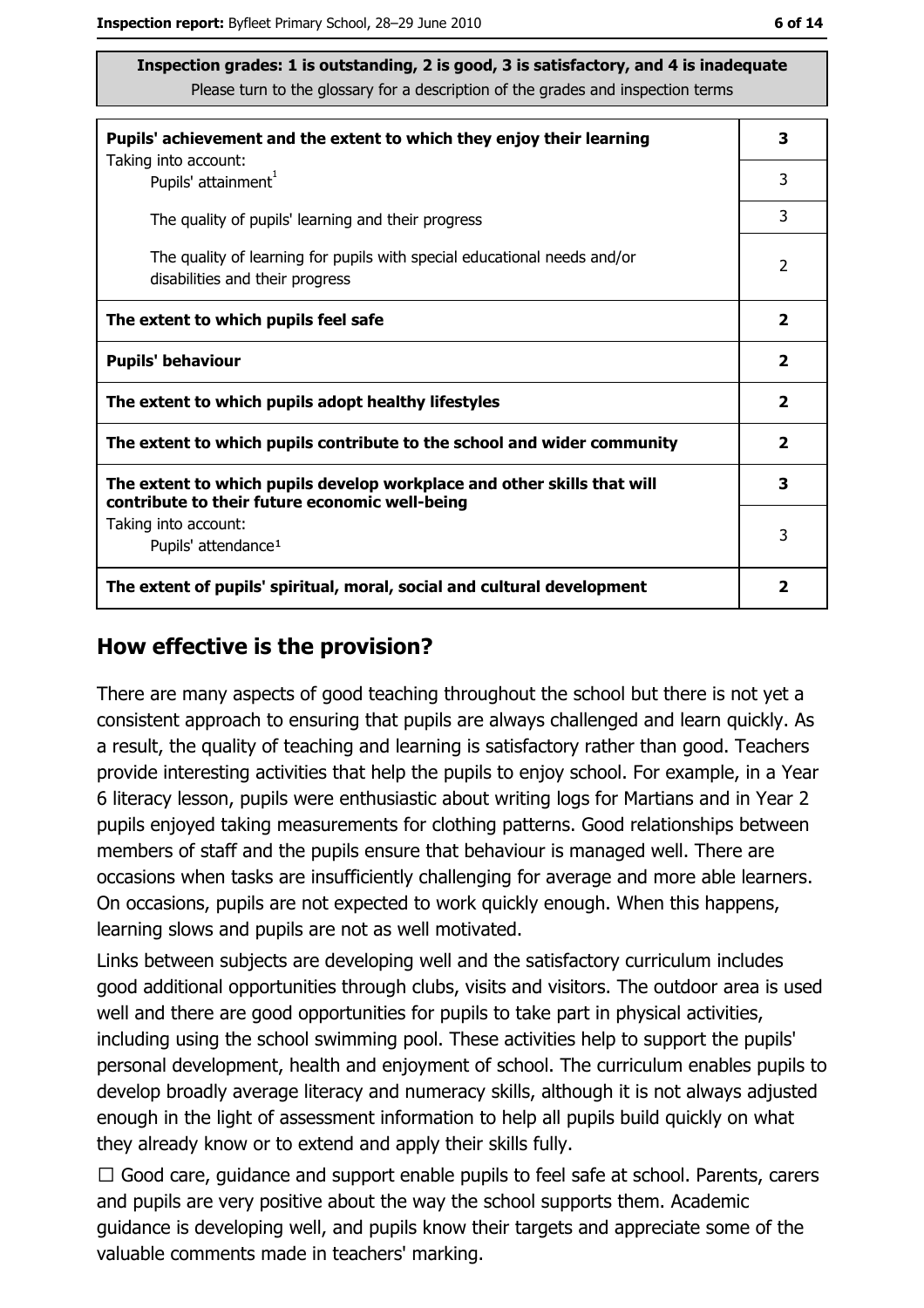| Pupils' achievement and the extent to which they enjoy their learning                                                     |   |  |  |
|---------------------------------------------------------------------------------------------------------------------------|---|--|--|
| Taking into account:<br>Pupils' attainment <sup>1</sup>                                                                   | 3 |  |  |
| The quality of pupils' learning and their progress                                                                        | 3 |  |  |
| The quality of learning for pupils with special educational needs and/or<br>disabilities and their progress               |   |  |  |
| The extent to which pupils feel safe                                                                                      |   |  |  |
| <b>Pupils' behaviour</b>                                                                                                  |   |  |  |
| The extent to which pupils adopt healthy lifestyles                                                                       |   |  |  |
| The extent to which pupils contribute to the school and wider community                                                   |   |  |  |
| The extent to which pupils develop workplace and other skills that will<br>contribute to their future economic well-being | 3 |  |  |
| Taking into account:                                                                                                      | 3 |  |  |
| Pupils' attendance <sup>1</sup>                                                                                           |   |  |  |
| The extent of pupils' spiritual, moral, social and cultural development                                                   | 2 |  |  |

#### How effective is the provision?

There are many aspects of good teaching throughout the school but there is not yet a consistent approach to ensuring that pupils are always challenged and learn quickly. As a result, the quality of teaching and learning is satisfactory rather than good. Teachers provide interesting activities that help the pupils to enjoy school. For example, in a Year 6 literacy lesson, pupils were enthusiastic about writing logs for Martians and in Year 2 pupils enjoyed taking measurements for clothing patterns. Good relationships between members of staff and the pupils ensure that behaviour is managed well. There are occasions when tasks are insufficiently challenging for average and more able learners. On occasions, pupils are not expected to work quickly enough. When this happens, learning slows and pupils are not as well motivated.

Links between subjects are developing well and the satisfactory curriculum includes good additional opportunities through clubs, visits and visitors. The outdoor area is used well and there are good opportunities for pupils to take part in physical activities, including using the school swimming pool. These activities help to support the pupils' personal development, health and enjoyment of school. The curriculum enables pupils to develop broadly average literacy and numeracy skills, although it is not always adjusted enough in the light of assessment information to help all pupils build quickly on what they already know or to extend and apply their skills fully.

 $\Box$  Good care, quidance and support enable pupils to feel safe at school. Parents, carers and pupils are very positive about the way the school supports them. Academic guidance is developing well, and pupils know their targets and appreciate some of the valuable comments made in teachers' marking.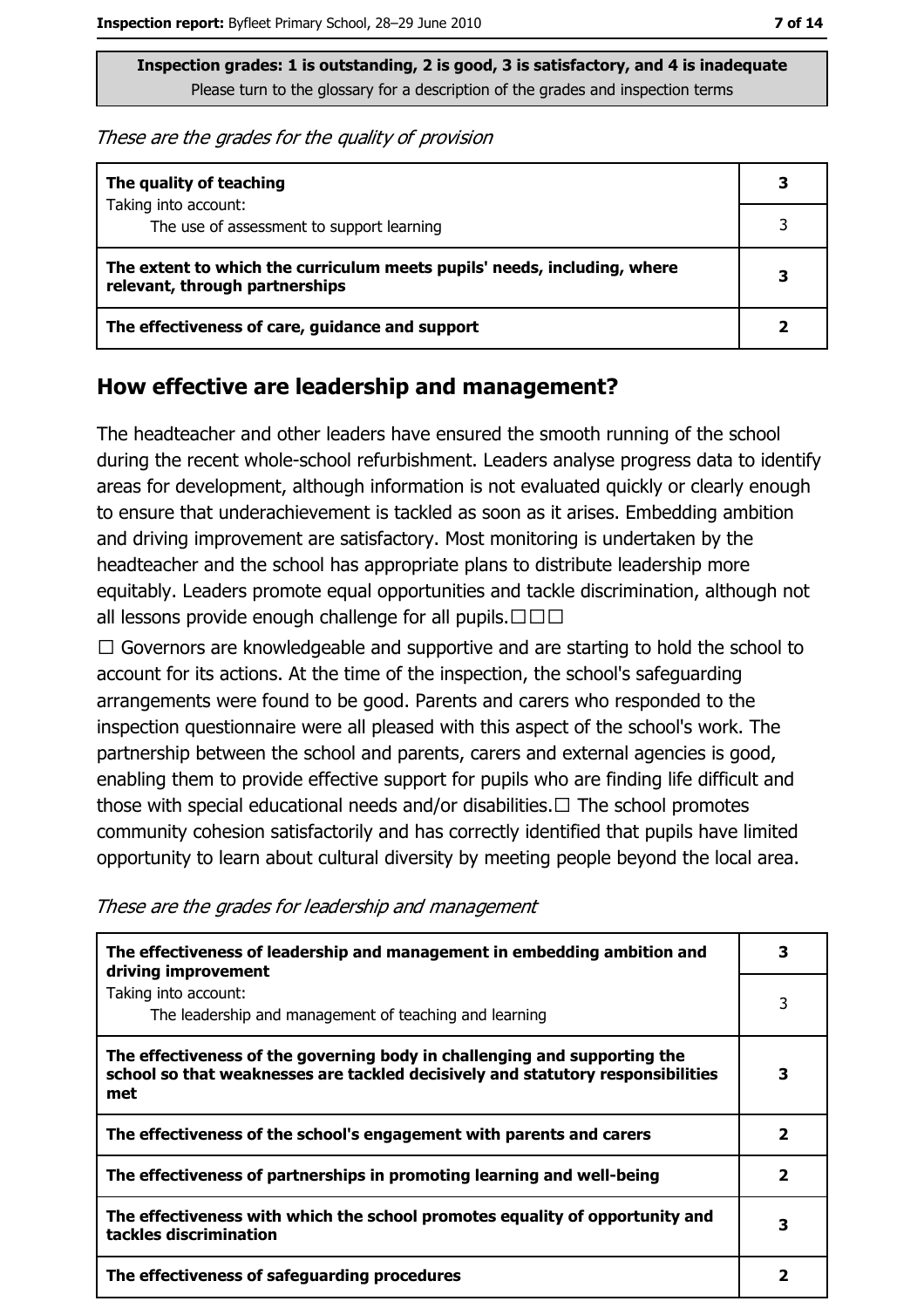These are the grades for the quality of provision

| The quality of teaching                                                                                    |  |
|------------------------------------------------------------------------------------------------------------|--|
| Taking into account:<br>The use of assessment to support learning                                          |  |
| The extent to which the curriculum meets pupils' needs, including, where<br>relevant, through partnerships |  |
| The effectiveness of care, guidance and support                                                            |  |

#### How effective are leadership and management?

The headteacher and other leaders have ensured the smooth running of the school during the recent whole-school refurbishment. Leaders analyse progress data to identify areas for development, although information is not evaluated guickly or clearly enough to ensure that underachievement is tackled as soon as it arises. Embedding ambition and driving improvement are satisfactory. Most monitoring is undertaken by the headteacher and the school has appropriate plans to distribute leadership more equitably. Leaders promote equal opportunities and tackle discrimination, although not all lessons provide enough challenge for all pupils.  $\square \square \square$ 

 $\Box$  Governors are knowledgeable and supportive and are starting to hold the school to account for its actions. At the time of the inspection, the school's safeguarding arrangements were found to be good. Parents and carers who responded to the inspection questionnaire were all pleased with this aspect of the school's work. The partnership between the school and parents, carers and external agencies is good, enabling them to provide effective support for pupils who are finding life difficult and those with special educational needs and/or disabilities.  $\Box$  The school promotes community cohesion satisfactorily and has correctly identified that pupils have limited opportunity to learn about cultural diversity by meeting people beyond the local area.

These are the grades for leadership and management

| The effectiveness of leadership and management in embedding ambition and<br>driving improvement                                                                     |   |  |
|---------------------------------------------------------------------------------------------------------------------------------------------------------------------|---|--|
| Taking into account:<br>The leadership and management of teaching and learning                                                                                      | 3 |  |
| The effectiveness of the governing body in challenging and supporting the<br>school so that weaknesses are tackled decisively and statutory responsibilities<br>met | 3 |  |
| The effectiveness of the school's engagement with parents and carers                                                                                                | 2 |  |
| The effectiveness of partnerships in promoting learning and well-being                                                                                              |   |  |
| The effectiveness with which the school promotes equality of opportunity and<br>tackles discrimination                                                              |   |  |
| The effectiveness of safeguarding procedures                                                                                                                        | 2 |  |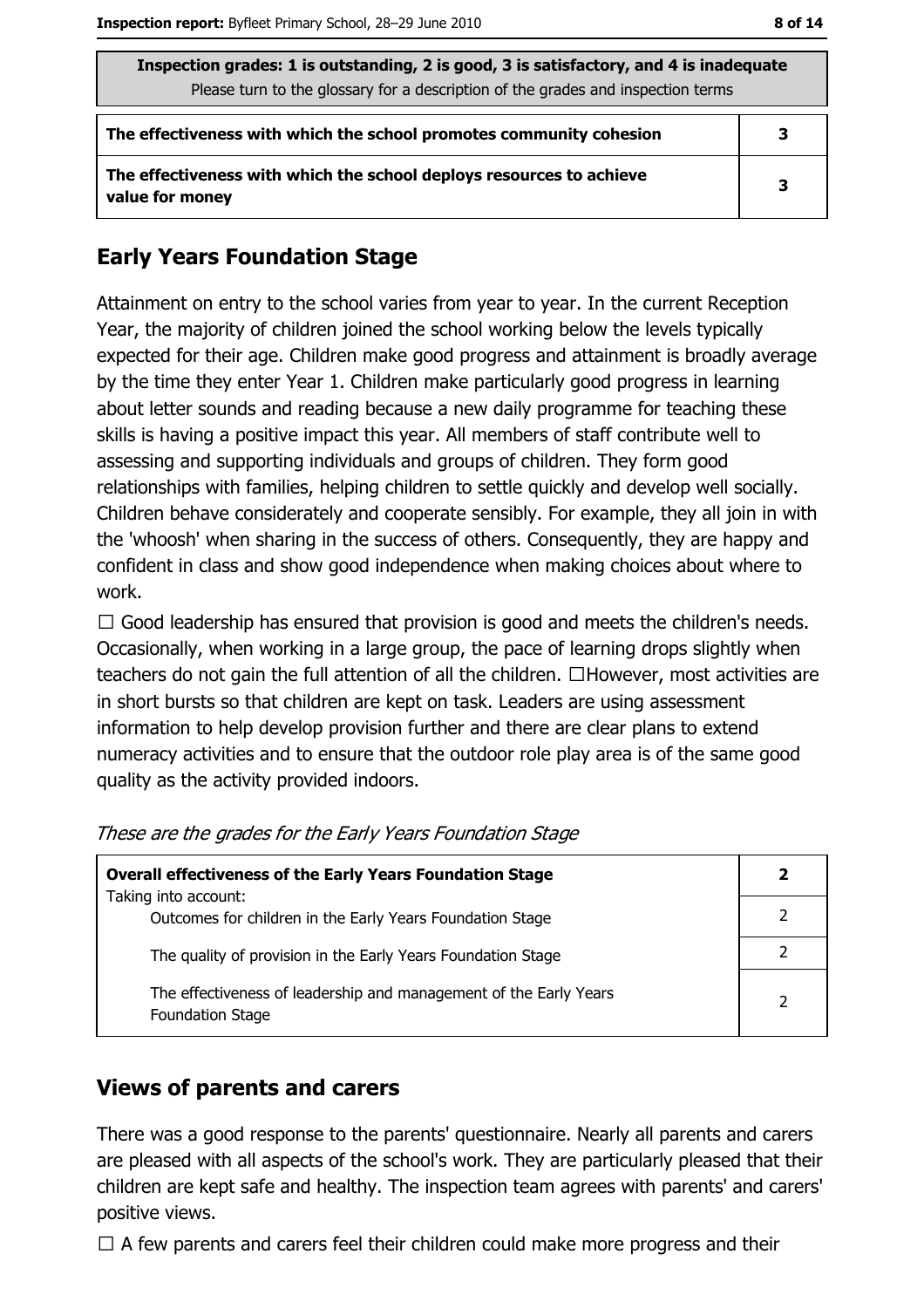| Inspection grades: 1 is outstanding, 2 is good, 3 is satisfactory, and 4 is inadequate<br>Please turn to the glossary for a description of the grades and inspection terms |   |  |
|----------------------------------------------------------------------------------------------------------------------------------------------------------------------------|---|--|
| The effectiveness with which the school promotes community cohesion                                                                                                        | 3 |  |
| The effectiveness with which the school deploys resources to achieve<br>value for money                                                                                    | 3 |  |

#### **Early Years Foundation Stage**

Attainment on entry to the school varies from year to year. In the current Reception Year, the majority of children joined the school working below the levels typically expected for their age. Children make good progress and attainment is broadly average by the time they enter Year 1. Children make particularly good progress in learning about letter sounds and reading because a new daily programme for teaching these skills is having a positive impact this year. All members of staff contribute well to assessing and supporting individuals and groups of children. They form good relationships with families, helping children to settle quickly and develop well socially. Children behave considerately and cooperate sensibly. For example, they all join in with the 'whoosh' when sharing in the success of others. Consequently, they are happy and confident in class and show good independence when making choices about where to work.

 $\Box$  Good leadership has ensured that provision is good and meets the children's needs. Occasionally, when working in a large group, the pace of learning drops slightly when teachers do not gain the full attention of all the children.  $\Box$  However, most activities are in short bursts so that children are kept on task. Leaders are using assessment information to help develop provision further and there are clear plans to extend numeracy activities and to ensure that the outdoor role play area is of the same good quality as the activity provided indoors.

| <b>Overall effectiveness of the Early Years Foundation Stage</b>                             |  |
|----------------------------------------------------------------------------------------------|--|
| Taking into account:                                                                         |  |
| Outcomes for children in the Early Years Foundation Stage                                    |  |
| The quality of provision in the Early Years Foundation Stage                                 |  |
| The effectiveness of leadership and management of the Early Years<br><b>Foundation Stage</b> |  |

| These are the grades for the Early Years Foundation Stage |  |  |  |
|-----------------------------------------------------------|--|--|--|
|                                                           |  |  |  |

#### **Views of parents and carers**

There was a good response to the parents' questionnaire. Nearly all parents and carers are pleased with all aspects of the school's work. They are particularly pleased that their children are kept safe and healthy. The inspection team agrees with parents' and carers' positive views.

 $\Box$  A few parents and carers feel their children could make more progress and their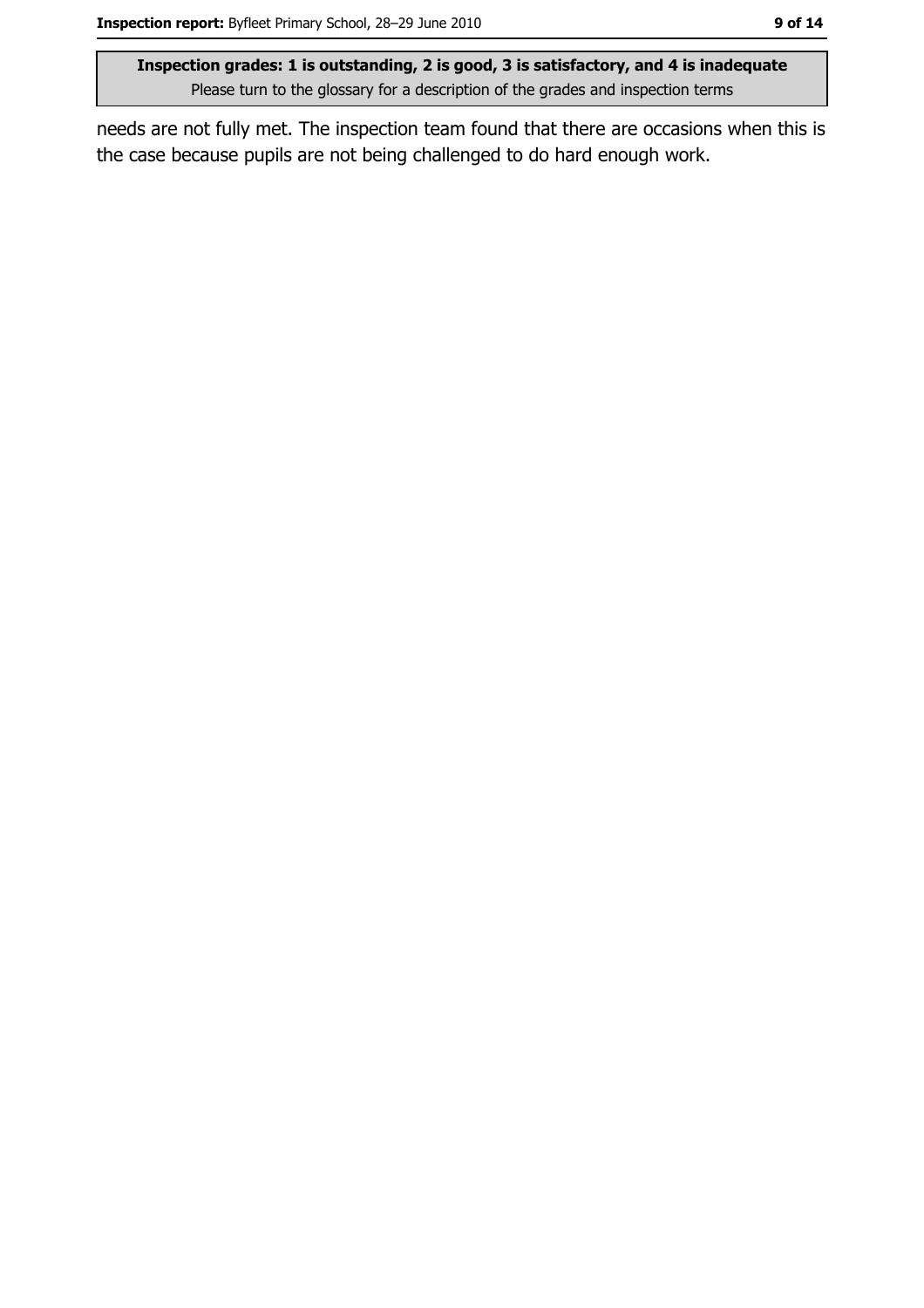needs are not fully met. The inspection team found that there are occasions when this is the case because pupils are not being challenged to do hard enough work.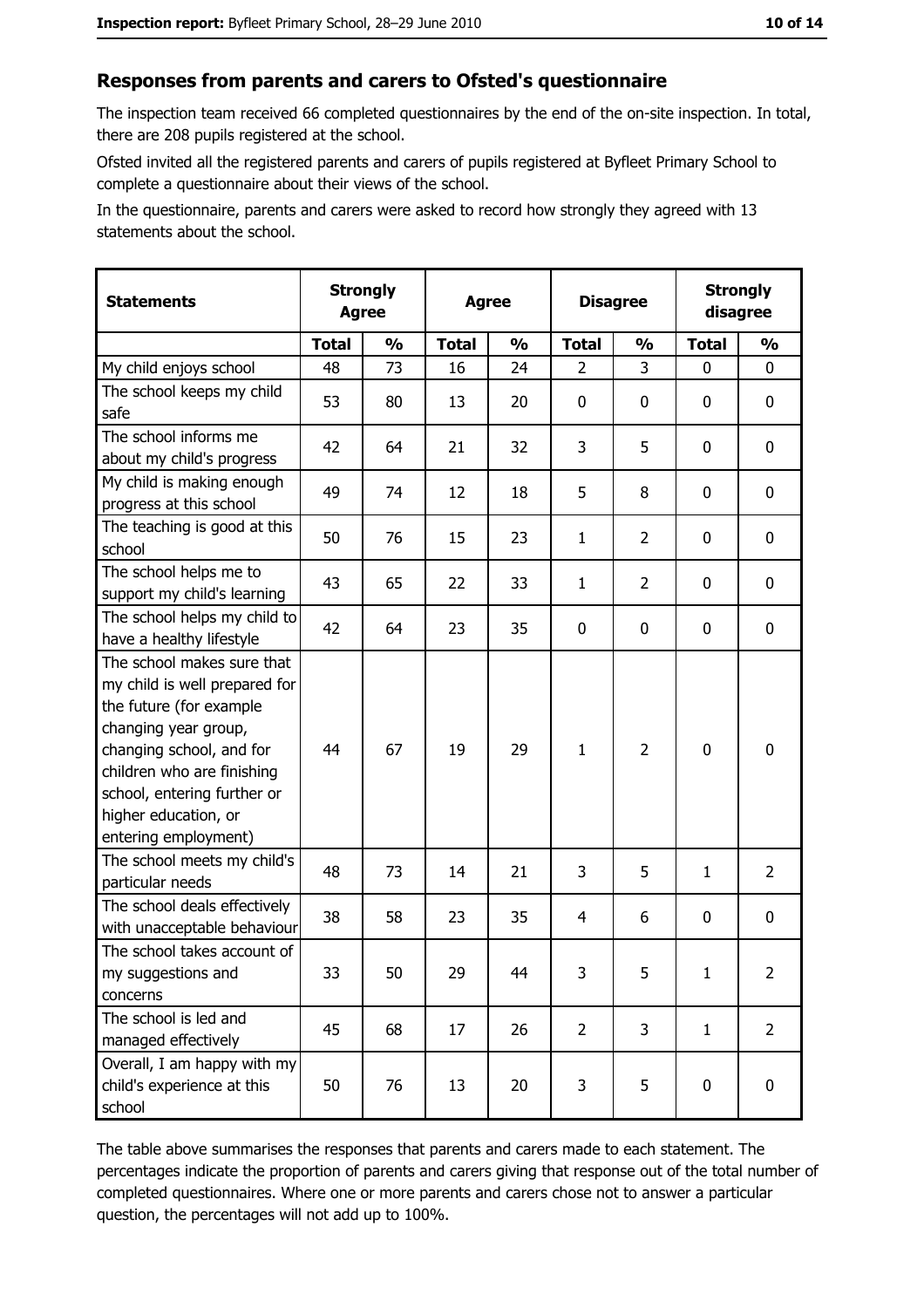#### Responses from parents and carers to Ofsted's questionnaire

The inspection team received 66 completed questionnaires by the end of the on-site inspection. In total, there are 208 pupils registered at the school.

Ofsted invited all the registered parents and carers of pupils registered at Byfleet Primary School to complete a questionnaire about their views of the school.

In the questionnaire, parents and carers were asked to record how strongly they agreed with 13 statements about the school.

| <b>Statements</b>                                                                                                                                                                                                                                       | <b>Agree</b> | <b>Strongly</b> | <b>Agree</b> |               | <b>Disagree</b> |                | <b>Strongly</b><br>disagree |                |
|---------------------------------------------------------------------------------------------------------------------------------------------------------------------------------------------------------------------------------------------------------|--------------|-----------------|--------------|---------------|-----------------|----------------|-----------------------------|----------------|
|                                                                                                                                                                                                                                                         | <b>Total</b> | $\frac{1}{2}$   | <b>Total</b> | $\frac{0}{0}$ | <b>Total</b>    | $\frac{0}{0}$  | <b>Total</b>                | $\frac{1}{2}$  |
| My child enjoys school                                                                                                                                                                                                                                  | 48           | 73              | 16           | 24            | $\overline{2}$  | 3              | $\mathbf{0}$                | 0              |
| The school keeps my child<br>safe                                                                                                                                                                                                                       | 53           | 80              | 13           | 20            | $\mathbf 0$     | 0              | 0                           | $\mathbf 0$    |
| The school informs me<br>about my child's progress                                                                                                                                                                                                      | 42           | 64              | 21           | 32            | 3               | 5              | 0                           | 0              |
| My child is making enough<br>progress at this school                                                                                                                                                                                                    | 49           | 74              | 12           | 18            | 5               | 8              | $\mathbf 0$                 | 0              |
| The teaching is good at this<br>school                                                                                                                                                                                                                  | 50           | 76              | 15           | 23            | $\mathbf{1}$    | $\overline{2}$ | 0                           | 0              |
| The school helps me to<br>support my child's learning                                                                                                                                                                                                   | 43           | 65              | 22           | 33            | $\mathbf{1}$    | $\overline{2}$ | 0                           | $\mathbf 0$    |
| The school helps my child to<br>have a healthy lifestyle                                                                                                                                                                                                | 42           | 64              | 23           | 35            | $\mathbf 0$     | 0              | 0                           | $\mathbf 0$    |
| The school makes sure that<br>my child is well prepared for<br>the future (for example<br>changing year group,<br>changing school, and for<br>children who are finishing<br>school, entering further or<br>higher education, or<br>entering employment) | 44           | 67              | 19           | 29            | $\mathbf{1}$    | $\overline{2}$ | $\mathbf 0$                 | $\mathbf 0$    |
| The school meets my child's<br>particular needs                                                                                                                                                                                                         | 48           | 73              | 14           | 21            | 3               | 5              | $\mathbf{1}$                | $\overline{2}$ |
| The school deals effectively<br>with unacceptable behaviour                                                                                                                                                                                             | 38           | 58              | 23           | 35            | 4               | 6              | 0                           | $\mathbf 0$    |
| The school takes account of<br>my suggestions and<br>concerns                                                                                                                                                                                           | 33           | 50              | 29           | 44            | 3               | 5              | 1                           | $\overline{2}$ |
| The school is led and<br>managed effectively                                                                                                                                                                                                            | 45           | 68              | 17           | 26            | $\overline{2}$  | 3              | $\mathbf{1}$                | $\overline{2}$ |
| Overall, I am happy with my<br>child's experience at this<br>school                                                                                                                                                                                     | 50           | 76              | 13           | 20            | 3               | 5              | $\mathbf 0$                 | 0              |

The table above summarises the responses that parents and carers made to each statement. The percentages indicate the proportion of parents and carers giving that response out of the total number of completed questionnaires. Where one or more parents and carers chose not to answer a particular question, the percentages will not add up to 100%.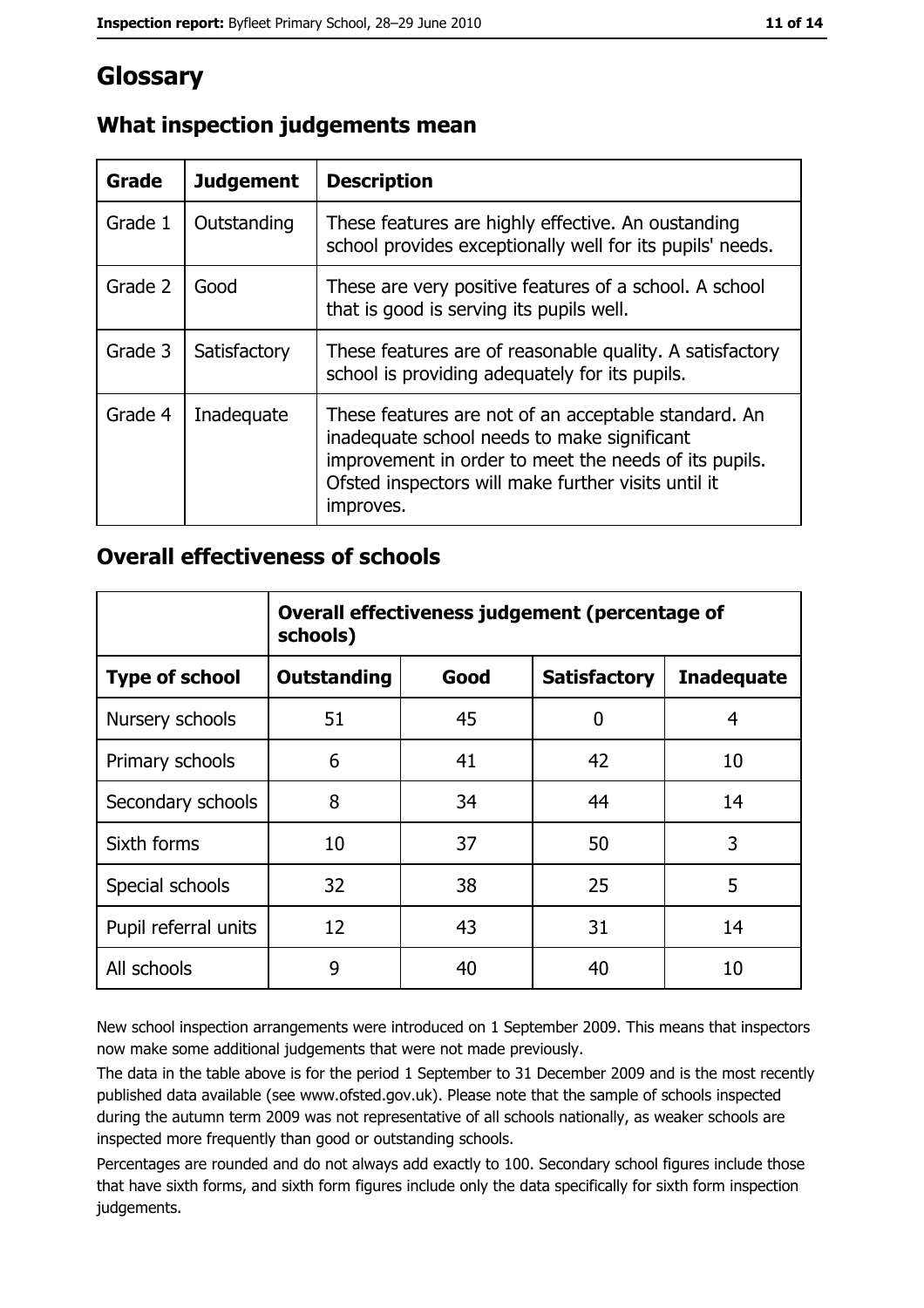## Glossary

| Grade   | <b>Judgement</b> | <b>Description</b>                                                                                                                                                                                                               |
|---------|------------------|----------------------------------------------------------------------------------------------------------------------------------------------------------------------------------------------------------------------------------|
| Grade 1 | Outstanding      | These features are highly effective. An oustanding<br>school provides exceptionally well for its pupils' needs.                                                                                                                  |
| Grade 2 | Good             | These are very positive features of a school. A school<br>that is good is serving its pupils well.                                                                                                                               |
| Grade 3 | Satisfactory     | These features are of reasonable quality. A satisfactory<br>school is providing adequately for its pupils.                                                                                                                       |
| Grade 4 | Inadequate       | These features are not of an acceptable standard. An<br>inadequate school needs to make significant<br>improvement in order to meet the needs of its pupils.<br>Ofsted inspectors will make further visits until it<br>improves. |

#### What inspection judgements mean

#### **Overall effectiveness of schools**

|                       | Overall effectiveness judgement (percentage of<br>schools) |      |                     |                   |  |  |
|-----------------------|------------------------------------------------------------|------|---------------------|-------------------|--|--|
| <b>Type of school</b> | <b>Outstanding</b>                                         | Good | <b>Satisfactory</b> | <b>Inadequate</b> |  |  |
| Nursery schools       | 51                                                         | 45   | 0                   | 4                 |  |  |
| Primary schools       | 6                                                          | 41   | 42                  | 10                |  |  |
| Secondary schools     | 8                                                          | 34   | 44                  | 14                |  |  |
| Sixth forms           | 10                                                         | 37   | 50                  | 3                 |  |  |
| Special schools       | 32                                                         | 38   | 25                  | 5                 |  |  |
| Pupil referral units  | 12                                                         | 43   | 31                  | 14                |  |  |
| All schools           | 9                                                          | 40   | 40                  | 10                |  |  |

New school inspection arrangements were introduced on 1 September 2009. This means that inspectors now make some additional judgements that were not made previously.

The data in the table above is for the period 1 September to 31 December 2009 and is the most recently published data available (see www.ofsted.gov.uk). Please note that the sample of schools inspected during the autumn term 2009 was not representative of all schools nationally, as weaker schools are inspected more frequently than good or outstanding schools.

Percentages are rounded and do not always add exactly to 100. Secondary school figures include those that have sixth forms, and sixth form figures include only the data specifically for sixth form inspection judgements.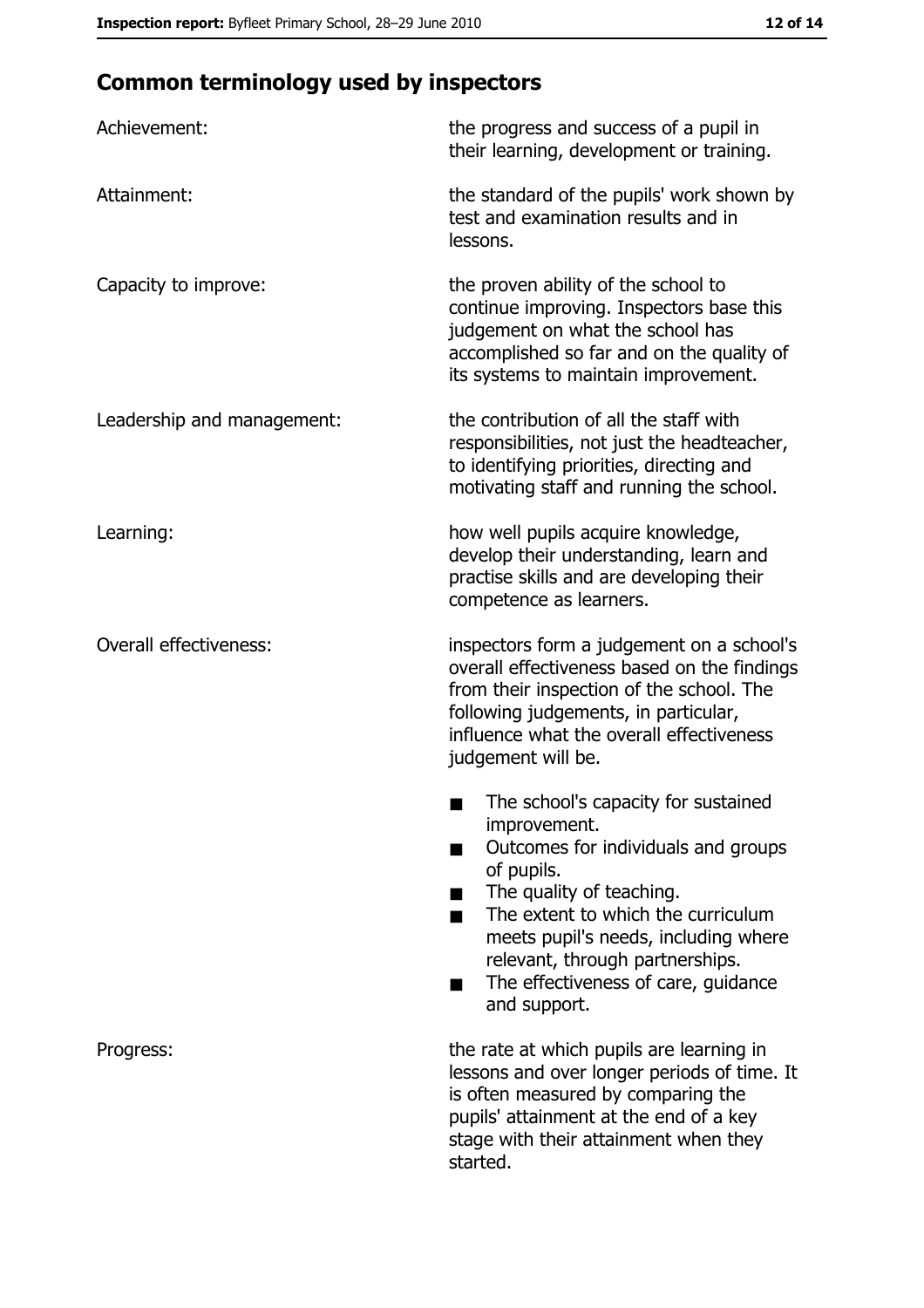## **Common terminology used by inspectors**

| Achievement:                  | the progress and success of a pupil in<br>their learning, development or training.                                                                                                                                                                                                                           |
|-------------------------------|--------------------------------------------------------------------------------------------------------------------------------------------------------------------------------------------------------------------------------------------------------------------------------------------------------------|
| Attainment:                   | the standard of the pupils' work shown by<br>test and examination results and in<br>lessons.                                                                                                                                                                                                                 |
| Capacity to improve:          | the proven ability of the school to<br>continue improving. Inspectors base this<br>judgement on what the school has<br>accomplished so far and on the quality of<br>its systems to maintain improvement.                                                                                                     |
| Leadership and management:    | the contribution of all the staff with<br>responsibilities, not just the headteacher,<br>to identifying priorities, directing and<br>motivating staff and running the school.                                                                                                                                |
| Learning:                     | how well pupils acquire knowledge,<br>develop their understanding, learn and<br>practise skills and are developing their<br>competence as learners.                                                                                                                                                          |
| <b>Overall effectiveness:</b> | inspectors form a judgement on a school's<br>overall effectiveness based on the findings<br>from their inspection of the school. The<br>following judgements, in particular,<br>influence what the overall effectiveness<br>judgement will be.                                                               |
|                               | The school's capacity for sustained<br>improvement.<br>Outcomes for individuals and groups<br>of pupils.<br>The quality of teaching.<br>The extent to which the curriculum<br>meets pupil's needs, including where<br>relevant, through partnerships.<br>The effectiveness of care, guidance<br>and support. |
| Progress:                     | the rate at which pupils are learning in<br>lessons and over longer periods of time. It<br>is often measured by comparing the<br>pupils' attainment at the end of a key<br>stage with their attainment when they<br>started.                                                                                 |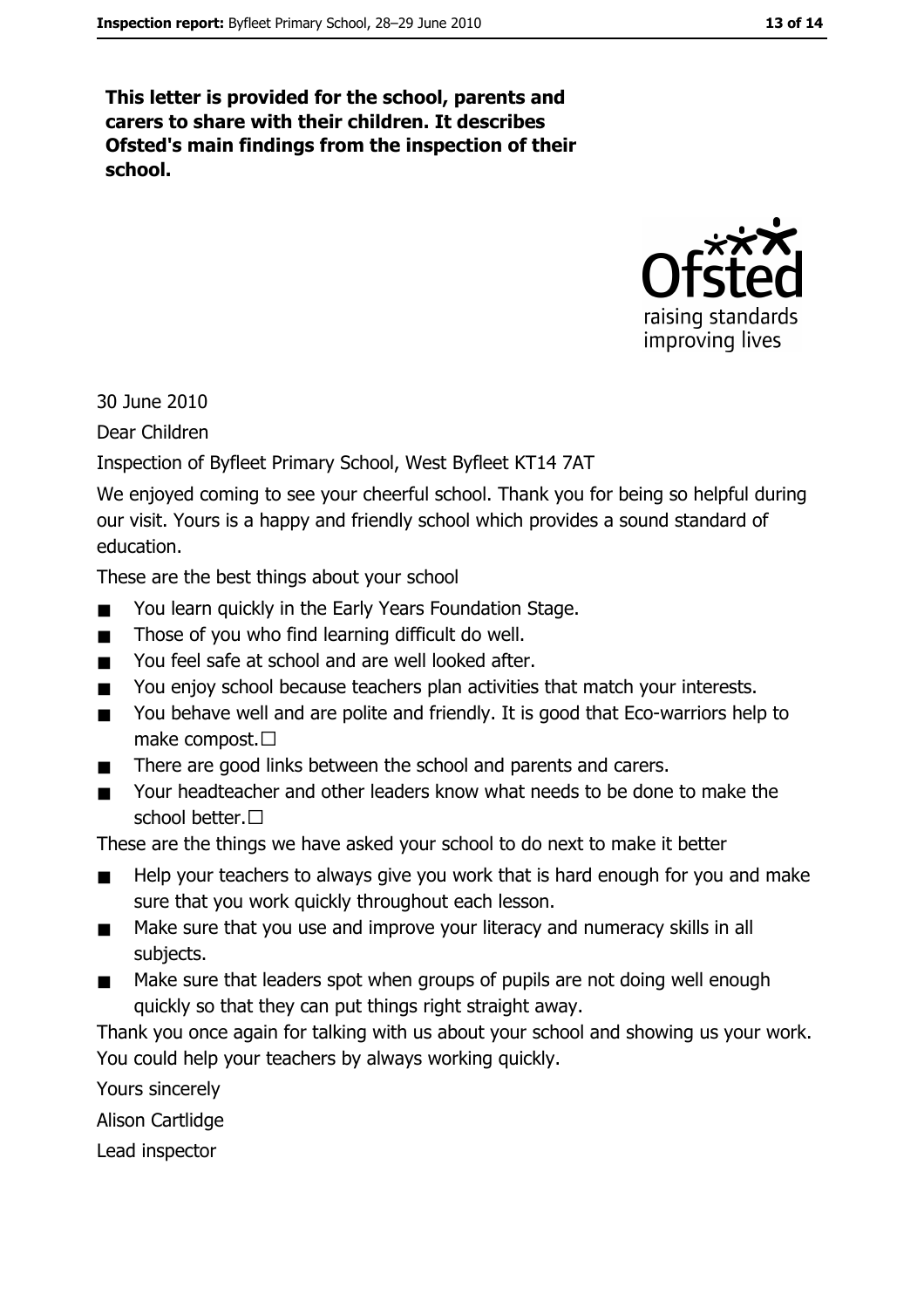This letter is provided for the school, parents and carers to share with their children. It describes Ofsted's main findings from the inspection of their school.



30 June 2010

Dear Children

Inspection of Byfleet Primary School, West Byfleet KT14 7AT

We enjoyed coming to see your cheerful school. Thank you for being so helpful during our visit. Yours is a happy and friendly school which provides a sound standard of education.

These are the best things about your school

- You learn quickly in the Early Years Foundation Stage.
- Those of you who find learning difficult do well.  $\blacksquare$
- You feel safe at school and are well looked after.  $\blacksquare$
- You enjoy school because teachers plan activities that match your interests.  $\blacksquare$
- You behave well and are polite and friendly. It is good that Eco-warriors help to  $\blacksquare$ make compost.  $\square$
- There are good links between the school and parents and carers.  $\blacksquare$
- Your headteacher and other leaders know what needs to be done to make the  $\blacksquare$ school better.□

These are the things we have asked your school to do next to make it better

- Help your teachers to always give you work that is hard enough for you and make  $\blacksquare$ sure that you work quickly throughout each lesson.
- Make sure that you use and improve your literacy and numeracy skills in all  $\blacksquare$ subjects.
- Make sure that leaders spot when groups of pupils are not doing well enough  $\blacksquare$ quickly so that they can put things right straight away.

Thank you once again for talking with us about your school and showing us your work. You could help your teachers by always working quickly.

Yours sincerely

Alison Cartlidge

Lead inspector